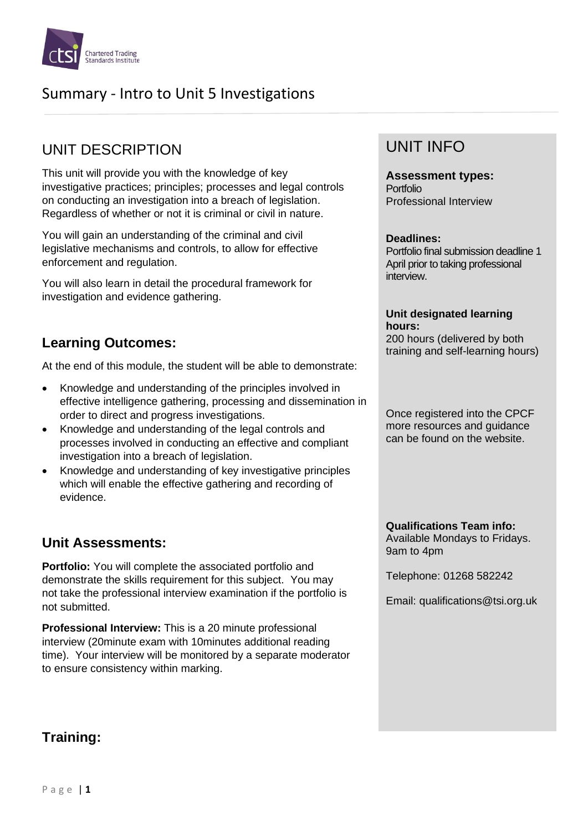

# Summary - Intro to Unit 5 Investigations

# UNIT DESCRIPTION

This unit will provide you with the knowledge of key investigative practices; principles; processes and legal controls on conducting an investigation into a breach of legislation. Regardless of whether or not it is criminal or civil in nature.

You will gain an understanding of the criminal and civil legislative mechanisms and controls, to allow for effective enforcement and regulation.

You will also learn in detail the procedural framework for investigation and evidence gathering.

### **Learning Outcomes:**

At the end of this module, the student will be able to demonstrate:

- Knowledge and understanding of the principles involved in effective intelligence gathering, processing and dissemination in order to direct and progress investigations.
- Knowledge and understanding of the legal controls and processes involved in conducting an effective and compliant investigation into a breach of legislation.
- Knowledge and understanding of key investigative principles which will enable the effective gathering and recording of evidence.

## **Unit Assessments:**

**Portfolio:** You will complete the associated portfolio and demonstrate the skills requirement for this subject. You may not take the professional interview examination if the portfolio is not submitted.

**Professional Interview:** This is a 20 minute professional interview (20minute exam with 10minutes additional reading time). Your interview will be monitored by a separate moderator to ensure consistency within marking.

## UNIT INFO

**Assessment types:** Portfolio Professional Interview

#### **Deadlines:**

Portfolio final submission deadline 1 April prior to taking professional interview.

#### **Unit designated learning hours:**

200 hours (delivered by both training and self-learning hours)

Once registered into the CPCF more resources and guidance can be found on the website.

**Qualifications Team info:** Available Mondays to Fridays. 9am to 4pm

Telephone: 01268 582242

Email: qualifications@tsi.org.uk

# **Training:**